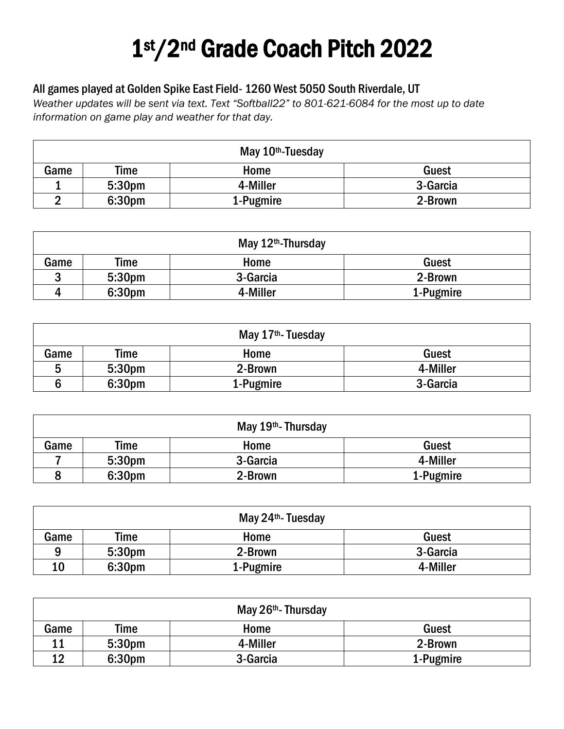## 1st/2nd Grade Coach Pitch 2022

## All games played at Golden Spike East Field- 1260 West 5050 South Riverdale, UT

*Weather updates will be sent via text. Text "Softball22" to 801-621-6084 for the most up to date information on game play and weather for that day.* 

| May 10 <sup>th</sup> -Tuesday |                    |           |          |  |
|-------------------------------|--------------------|-----------|----------|--|
| Game                          | Time               | Home      | Guest    |  |
|                               | 5:30 <sub>pm</sub> | 4-Miller  | 3-Garcia |  |
| ◠                             | 6:30pm             | 1-Pugmire | 2-Brown  |  |

| May 12 <sup>th</sup> -Thursday |        |          |           |  |
|--------------------------------|--------|----------|-----------|--|
| Game                           | Time   | Home     | Guest     |  |
| ົ                              | 5:30pm | 3-Garcia | 2-Brown   |  |
| Д                              | 6:30pm | 4-Miller | 1-Pugmire |  |

| May 17 <sup>th</sup> -Tuesday |                    |           |          |  |
|-------------------------------|--------------------|-----------|----------|--|
| Game                          | Time               | Home      | Guest    |  |
| 5                             | 5:30 <sub>pm</sub> | 2-Brown   | 4-Miller |  |
|                               | 6:30 <sub>pm</sub> | 1-Pugmire | 3-Garcia |  |

| May $19th$ - Thursday |                    |          |           |  |
|-----------------------|--------------------|----------|-----------|--|
| Game                  | Time               | Home     | Guest     |  |
|                       | 5:30 <sub>pm</sub> | 3-Garcia | 4-Miller  |  |
|                       | 6:30 <sub>pm</sub> | 2-Brown  | 1-Pugmire |  |

| May 24 <sup>th</sup> -Tuesday |                    |           |          |  |
|-------------------------------|--------------------|-----------|----------|--|
| Game                          | Time               | Home      | Guest    |  |
| q                             | 5:30 <sub>pm</sub> | 2-Brown   | 3-Garcia |  |
| 10                            | 6:30pm             | 1-Pugmire | 4-Miller |  |

| May 26th - Thursday |                    |          |           |  |
|---------------------|--------------------|----------|-----------|--|
| Game                | Time               | Home     | Guest     |  |
| 11                  | 5:30 <sub>pm</sub> | 4-Miller | 2-Brown   |  |
| 12                  | 6:30 <sub>pm</sub> | 3-Garcia | 1-Pugmire |  |